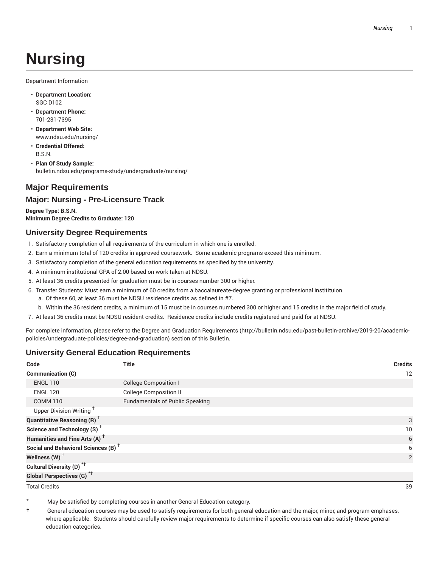# **Nursing**

Department Information

- **Department Location:** SGC D102
- **Department Phone:** 701-231-7395
- **Department Web Site:** www.ndsu.edu/nursing/
- **Credential Offered:** B.S.N.
- **Plan Of Study Sample:** bulletin.ndsu.edu/programs-study/undergraduate/nursing/

#### **Major Requirements**

#### **Major: Nursing - Pre-Licensure Track**

**Degree Type: B.S.N. Minimum Degree Credits to Graduate: 120**

#### **University Degree Requirements**

- 1. Satisfactory completion of all requirements of the curriculum in which one is enrolled.
- 2. Earn a minimum total of 120 credits in approved coursework. Some academic programs exceed this minimum.
- 3. Satisfactory completion of the general education requirements as specified by the university.
- 4. A minimum institutional GPA of 2.00 based on work taken at NDSU.
- 5. At least 36 credits presented for graduation must be in courses number 300 or higher.
- 6. Transfer Students: Must earn a minimum of 60 credits from a baccalaureate-degree granting or professional institituion.
	- a. Of these 60, at least 36 must be NDSU residence credits as defined in #7.
	- b. Within the 36 resident credits, a minimum of 15 must be in courses numbered 300 or higher and 15 credits in the major field of study.

7. At least 36 credits must be NDSU resident credits. Residence credits include credits registered and paid for at NDSU.

For complete information, please refer to the Degree and Graduation Requirements (http://bulletin.ndsu.edu/past-bulletin-archive/2019-20/academicpolicies/undergraduate-policies/degree-and-graduation) section of this Bulletin.

#### **University General Education Requirements**

| Code                                            | <b>Title</b>                           | <b>Credits</b> |
|-------------------------------------------------|----------------------------------------|----------------|
| <b>Communication (C)</b>                        |                                        | 12             |
| <b>ENGL 110</b>                                 | <b>College Composition I</b>           |                |
| <b>ENGL 120</b>                                 | <b>College Composition II</b>          |                |
| <b>COMM 110</b>                                 | <b>Fundamentals of Public Speaking</b> |                |
| Upper Division Writing <sup>+</sup>             |                                        |                |
| <b>Quantitative Reasoning (R)</b> <sup>†</sup>  |                                        | 3              |
| Science and Technology (S) <sup>+</sup>         |                                        | 10             |
| Humanities and Fine Arts (A) <sup>+</sup>       |                                        | 6              |
| Social and Behavioral Sciences (B) <sup>+</sup> |                                        | 6              |
| Wellness $(W)$ <sup>+</sup>                     |                                        | 2              |
| Cultural Diversity (D) <sup>*†</sup>            |                                        |                |
| <b>Global Perspectives (G)</b> <sup>*†</sup>    |                                        |                |

Total Credits 39

May be satisfied by completing courses in another General Education category.

† General education courses may be used to satisfy requirements for both general education and the major, minor, and program emphases, where applicable. Students should carefully review major requirements to determine if specific courses can also satisfy these general education categories.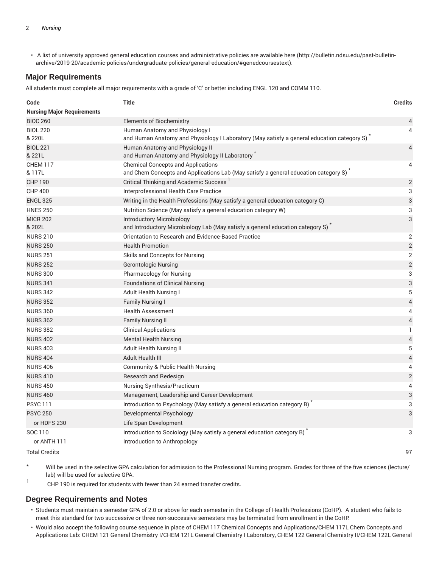• A list of university approved general education courses and administrative policies are available here (http://bulletin.ndsu.edu/past-bulletinarchive/2019-20/academic-policies/undergraduate-policies/general-education/#genedcoursestext).

#### **Major Requirements**

All students must complete all major requirements with a grade of 'C' or better including ENGL 120 and COMM 110.

| Code                              | <b>Title</b>                                                                                                                                  | <b>Credits</b>            |
|-----------------------------------|-----------------------------------------------------------------------------------------------------------------------------------------------|---------------------------|
| <b>Nursing Major Requirements</b> |                                                                                                                                               |                           |
| <b>BIOC 260</b>                   | Elements of Biochemistry                                                                                                                      | 4                         |
| <b>BIOL 220</b><br>& 220L         | Human Anatomy and Physiology I<br>and Human Anatomy and Physiology I Laboratory (May satisfy a general education category S) $\hat{ }$        | 4                         |
| <b>BIOL 221</b><br>& 221L         | Human Anatomy and Physiology II<br>and Human Anatomy and Physiology II Laboratory <sup>*</sup>                                                | 4                         |
| <b>CHEM 117</b><br>& 117L         | <b>Chemical Concepts and Applications</b><br>and Chem Concepts and Applications Lab (May satisfy a general education category S) <sup>*</sup> | 4                         |
| <b>CHP 190</b>                    | Critical Thinking and Academic Success <sup>1</sup>                                                                                           | $\overline{2}$            |
| <b>CHP 400</b>                    | Interprofessional Health Care Practice                                                                                                        | 3                         |
| <b>ENGL 325</b>                   | Writing in the Health Professions (May satisfy a general education category C)                                                                | 3                         |
| <b>HNES 250</b>                   | Nutrition Science (May satisfy a general education category W)                                                                                | 3                         |
| <b>MICR 202</b><br>& 202L         | <b>Introductory Microbiology</b><br>and Introductory Microbiology Lab (May satisfy a general education category S)                            | 3                         |
| <b>NURS 210</b>                   | Orientation to Research and Evidence-Based Practice                                                                                           | $\overline{2}$            |
| <b>NURS 250</b>                   | <b>Health Promotion</b>                                                                                                                       | $\overline{c}$            |
| <b>NURS 251</b>                   | Skills and Concepts for Nursing                                                                                                               | $\overline{2}$            |
| <b>NURS 252</b>                   | <b>Gerontologic Nursing</b>                                                                                                                   | $\overline{2}$            |
| <b>NURS 300</b>                   | Pharmacology for Nursing                                                                                                                      | 3                         |
| <b>NURS 341</b>                   | <b>Foundations of Clinical Nursing</b>                                                                                                        | 3                         |
| <b>NURS 342</b>                   | <b>Adult Health Nursing I</b>                                                                                                                 | 5                         |
| <b>NURS 352</b>                   | <b>Family Nursing I</b>                                                                                                                       | $\overline{4}$            |
| <b>NURS 360</b>                   | <b>Health Assessment</b>                                                                                                                      | 4                         |
| <b>NURS 362</b>                   | <b>Family Nursing II</b>                                                                                                                      | $\overline{\mathbf{4}}$   |
| <b>NURS 382</b>                   | <b>Clinical Applications</b>                                                                                                                  | 1                         |
| <b>NURS 402</b>                   | <b>Mental Health Nursing</b>                                                                                                                  | $\sqrt{4}$                |
| <b>NURS 403</b>                   | <b>Adult Health Nursing II</b>                                                                                                                | 5                         |
| <b>NURS 404</b>                   | Adult Health III                                                                                                                              | $\overline{4}$            |
| <b>NURS 406</b>                   | Community & Public Health Nursing                                                                                                             | 4                         |
| <b>NURS 410</b>                   | Research and Redesign                                                                                                                         | $\overline{2}$            |
| <b>NURS 450</b>                   | Nursing Synthesis/Practicum                                                                                                                   | 4                         |
| <b>NURS 460</b>                   | Management, Leadership and Career Development                                                                                                 | $\ensuremath{\mathsf{3}}$ |
| <b>PSYC111</b>                    | Introduction to Psychology (May satisfy a general education category B)                                                                       | 3                         |
| <b>PSYC 250</b>                   | Developmental Psychology                                                                                                                      | 3                         |
| or HDFS 230                       | Life Span Development                                                                                                                         |                           |
| SOC 110                           | Introduction to Sociology (May satisfy a general education category B)                                                                        | 3                         |
| or ANTH 111                       | Introduction to Anthropology                                                                                                                  |                           |

Total Credits 97

Will be used in the selective GPA calculation for admission to the Professional Nursing program. Grades for three of the five sciences (lecture/ lab) will be used for selective GPA.

1 CHP 190 is required for students with fewer than 24 earned transfer credits.

#### **Degree Requirements and Notes**

- Students must maintain a semester GPA of 2.0 or above for each semester in the College of Health Professions (CoHP). A student who fails to meet this standard for two successive or three non-successive semesters may be terminated from enrollment in the CoHP.
- Would also accept the following course sequence in place of CHEM 117 Chemical Concepts and Applications/CHEM 117L Chem Concepts and Applications Lab: CHEM 121 General Chemistry I/CHEM 121L General Chemistry I Laboratory, CHEM 122 General Chemistry II/CHEM 122L General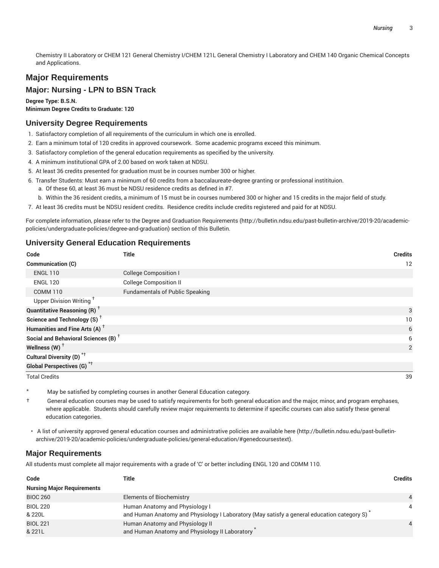Chemistry II Laboratory or CHEM 121 General Chemistry I/CHEM 121L General Chemistry I Laboratory and CHEM 140 Organic Chemical Concepts and Applications.

### **Major Requirements**

#### **Major: Nursing - LPN to BSN Track**

**Degree Type: B.S.N.**

# **Minimum Degree Credits to Graduate: 120**

#### **University Degree Requirements**

- 1. Satisfactory completion of all requirements of the curriculum in which one is enrolled.
- 2. Earn a minimum total of 120 credits in approved coursework. Some academic programs exceed this minimum.
- 3. Satisfactory completion of the general education requirements as specified by the university.
- 4. A minimum institutional GPA of 2.00 based on work taken at NDSU.
- 5. At least 36 credits presented for graduation must be in courses number 300 or higher.
- 6. Transfer Students: Must earn a minimum of 60 credits from a baccalaureate-degree granting or professional institituion.
	- a. Of these 60, at least 36 must be NDSU residence credits as defined in #7.
	- b. Within the 36 resident credits, a minimum of 15 must be in courses numbered 300 or higher and 15 credits in the major field of study.
- 7. At least 36 credits must be NDSU resident credits. Residence credits include credits registered and paid for at NDSU.

For complete information, please refer to the Degree and Graduation Requirements (http://bulletin.ndsu.edu/past-bulletin-archive/2019-20/academicpolicies/undergraduate-policies/degree-and-graduation) section of this Bulletin.

#### **University General Education Requirements**

| Code                                            | <b>Title</b>                           | <b>Credits</b> |
|-------------------------------------------------|----------------------------------------|----------------|
| Communication (C)                               |                                        | 12             |
| <b>ENGL 110</b>                                 | <b>College Composition I</b>           |                |
| <b>ENGL 120</b>                                 | <b>College Composition II</b>          |                |
| <b>COMM 110</b>                                 | <b>Fundamentals of Public Speaking</b> |                |
| Upper Division Writing <sup>+</sup>             |                                        |                |
| <b>Quantitative Reasoning (R)</b> <sup>†</sup>  |                                        | 3              |
| Science and Technology (S) <sup>+</sup>         |                                        | 10             |
| Humanities and Fine Arts (A) <sup>+</sup>       |                                        | 6              |
| Social and Behavioral Sciences (B) <sup>+</sup> |                                        | 6              |
| Wellness $(W)$ <sup>+</sup>                     |                                        | 2              |
| Cultural Diversity (D) <sup>*†</sup>            |                                        |                |
| <b>Global Perspectives (G)<sup>*†</sup></b>     |                                        |                |
| <b>Total Credits</b>                            |                                        | 39             |

- May be satisfied by completing courses in another General Education category.
- † General education courses may be used to satisfy requirements for both general education and the major, minor, and program emphases, where applicable. Students should carefully review major requirements to determine if specific courses can also satisfy these general education categories.
- A list of university approved general education courses and administrative policies are available here (http://bulletin.ndsu.edu/past-bulletinarchive/2019-20/academic-policies/undergraduate-policies/general-education/#genedcoursestext).

#### **Major Requirements**

All students must complete all major requirements with a grade of 'C' or better including ENGL 120 and COMM 110.

| Code                              | Title                                                                                                                        | <b>Credits</b> |
|-----------------------------------|------------------------------------------------------------------------------------------------------------------------------|----------------|
| <b>Nursing Major Requirements</b> |                                                                                                                              |                |
| <b>BIOC 260</b>                   | <b>Elements of Biochemistry</b>                                                                                              | $\Delta$       |
| <b>BIOL 220</b><br>& 220L         | Human Anatomy and Physiology I<br>and Human Anatomy and Physiology I Laboratory (May satisfy a general education category S) | 4              |
| <b>BIOL 221</b><br>& 221L         | Human Anatomy and Physiology II<br>and Human Anatomy and Physiology II Laboratory                                            | Δ              |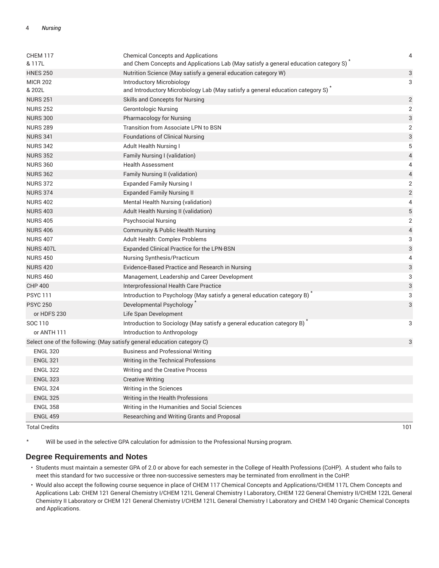| <b>CHEM 117</b><br>& 117L                                               | <b>Chemical Concepts and Applications</b><br>and Chem Concepts and Applications Lab (May satisfy a general education category S) | $\overline{4}$            |
|-------------------------------------------------------------------------|----------------------------------------------------------------------------------------------------------------------------------|---------------------------|
| <b>HNES 250</b>                                                         | Nutrition Science (May satisfy a general education category W)                                                                   | $\ensuremath{\mathsf{3}}$ |
| <b>MICR 202</b><br>& 202L                                               | Introductory Microbiology<br>and Introductory Microbiology Lab (May satisfy a general education category S) <sup>*</sup>         | 3                         |
| <b>NURS 251</b>                                                         | Skills and Concepts for Nursing                                                                                                  | $\overline{2}$            |
| <b>NURS 252</b>                                                         | <b>Gerontologic Nursing</b>                                                                                                      | $\overline{2}$            |
| <b>NURS 300</b>                                                         | Pharmacology for Nursing                                                                                                         | 3                         |
| <b>NURS 289</b>                                                         | <b>Transition from Associate LPN to BSN</b>                                                                                      | 2                         |
| <b>NURS 341</b>                                                         | <b>Foundations of Clinical Nursing</b>                                                                                           | 3                         |
| <b>NURS 342</b>                                                         | Adult Health Nursing I                                                                                                           | 5                         |
| <b>NURS 352</b>                                                         | Family Nursing I (validation)                                                                                                    | $\overline{4}$            |
| <b>NURS 360</b>                                                         | <b>Health Assessment</b>                                                                                                         | 4                         |
| <b>NURS 362</b>                                                         | Family Nursing II (validation)                                                                                                   | $\overline{4}$            |
| <b>NURS 372</b>                                                         | <b>Expanded Family Nursing I</b>                                                                                                 | $\overline{2}$            |
| <b>NURS 374</b>                                                         | <b>Expanded Family Nursing II</b>                                                                                                | $\overline{2}$            |
| <b>NURS 402</b>                                                         | Mental Health Nursing (validation)                                                                                               | 4                         |
| <b>NURS 403</b>                                                         | Adult Health Nursing II (validation)                                                                                             | 5                         |
| <b>NURS 405</b>                                                         | <b>Psychsocial Nursing</b>                                                                                                       | $\overline{2}$            |
| <b>NURS 406</b>                                                         | Community & Public Health Nursing                                                                                                | $\overline{4}$            |
| <b>NURS 407</b>                                                         | Adult Health: Complex Problems                                                                                                   | 3                         |
| <b>NURS 407L</b>                                                        | Expanded Clinical Practice for the LPN-BSN                                                                                       | $\sqrt{3}$                |
| <b>NURS 450</b>                                                         | Nursing Synthesis/Practicum                                                                                                      | 4                         |
| <b>NURS 420</b>                                                         | Evidence-Based Practice and Research in Nursing                                                                                  | $\sqrt{3}$                |
| <b>NURS 460</b>                                                         | Management, Leadership and Career Development                                                                                    | 3                         |
| <b>CHP 400</b>                                                          | Interprofessional Health Care Practice                                                                                           | 3                         |
| <b>PSYC 111</b>                                                         | Introduction to Psychology (May satisfy a general education category B)                                                          | 3                         |
| <b>PSYC 250</b>                                                         | Developmental Psychology                                                                                                         | 3                         |
| or HDFS 230                                                             | Life Span Development                                                                                                            |                           |
| SOC 110                                                                 | Introduction to Sociology (May satisfy a general education category B)                                                           | 3                         |
| or ANTH 111                                                             | Introduction to Anthropology                                                                                                     |                           |
| Select one of the following: (May satisfy general education category C) |                                                                                                                                  | 3                         |
| <b>ENGL 320</b>                                                         | <b>Business and Professional Writing</b>                                                                                         |                           |
| <b>ENGL 321</b>                                                         | Writing in the Technical Professions                                                                                             |                           |
| <b>ENGL 322</b>                                                         | Writing and the Creative Process                                                                                                 |                           |
| <b>ENGL 323</b>                                                         | <b>Creative Writing</b>                                                                                                          |                           |
| <b>ENGL 324</b>                                                         | Writing in the Sciences                                                                                                          |                           |
| <b>ENGL 325</b>                                                         | Writing in the Health Professions                                                                                                |                           |
| <b>ENGL 358</b>                                                         | Writing in the Humanities and Social Sciences                                                                                    |                           |
| <b>ENGL 459</b>                                                         | Researching and Writing Grants and Proposal                                                                                      |                           |

Total Credits 101

\* Will be used in the selective GPA calculation for admission to the Professional Nursing program.

#### **Degree Requirements and Notes**

- Students must maintain a semester GPA of 2.0 or above for each semester in the College of Health Professions (CoHP). A student who fails to meet this standard for two successive or three non-successive semesters may be terminated from enrollment in the CoHP.
- Would also accept the following course sequence in place of CHEM 117 Chemical Concepts and Applications/CHEM 117L Chem Concepts and Applications Lab: CHEM 121 General Chemistry I/CHEM 121L General Chemistry I Laboratory, CHEM 122 General Chemistry II/CHEM 122L General Chemistry II Laboratory or CHEM 121 General Chemistry I/CHEM 121L General Chemistry I Laboratory and CHEM 140 Organic Chemical Concepts and Applications.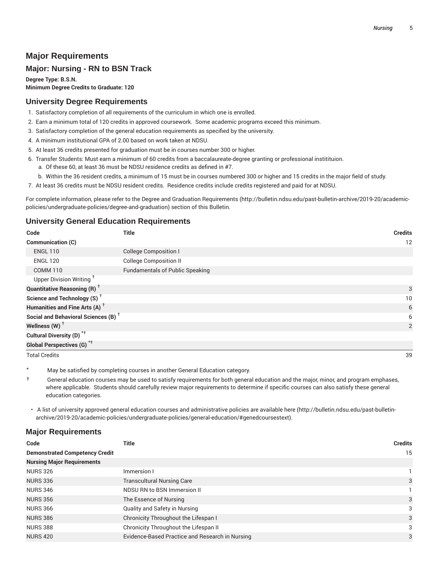## **Major Requirements**

#### **Major: Nursing - RN to BSN Track**

**Degree Type: B.S.N. Minimum Degree Credits to Graduate: 120**

#### **University Degree Requirements**

- 1. Satisfactory completion of all requirements of the curriculum in which one is enrolled.
- 2. Earn a minimum total of 120 credits in approved coursework. Some academic programs exceed this minimum.
- 3. Satisfactory completion of the general education requirements as specified by the university.
- 4. A minimum institutional GPA of 2.00 based on work taken at NDSU.
- 5. At least 36 credits presented for graduation must be in courses number 300 or higher.
- 6. Transfer Students: Must earn a minimum of 60 credits from a baccalaureate-degree granting or professional institituion.
	- a. Of these 60, at least 36 must be NDSU residence credits as defined in #7.
- b. Within the 36 resident credits, a minimum of 15 must be in courses numbered 300 or higher and 15 credits in the major field of study.
- 7. At least 36 credits must be NDSU resident credits. Residence credits include credits registered and paid for at NDSU.

For complete information, please refer to the Degree and Graduation Requirements (http://bulletin.ndsu.edu/past-bulletin-archive/2019-20/academicpolicies/undergraduate-policies/degree-and-graduation) section of this Bulletin.

#### **University General Education Requirements**

| Code                                            | <b>Title</b>                           | <b>Credits</b> |
|-------------------------------------------------|----------------------------------------|----------------|
| Communication (C)                               |                                        | 12             |
| <b>ENGL 110</b>                                 | <b>College Composition I</b>           |                |
| <b>ENGL 120</b>                                 | <b>College Composition II</b>          |                |
| <b>COMM 110</b>                                 | <b>Fundamentals of Public Speaking</b> |                |
| Upper Division Writing <sup>+</sup>             |                                        |                |
| <b>Quantitative Reasoning (R)</b> <sup>†</sup>  |                                        | 3              |
| Science and Technology (S) <sup>+</sup>         |                                        | 10             |
| Humanities and Fine Arts (A) <sup>+</sup>       |                                        | 6              |
| Social and Behavioral Sciences (B) <sup>+</sup> |                                        | 6              |
| Wellness (W) $^{\dagger}$                       |                                        | 2              |
| Cultural Diversity (D) <sup>*†</sup>            |                                        |                |
| Global Perspectives (G) <sup>*†</sup>           |                                        |                |

Total Credits 39

May be satisfied by completing courses in another General Education category.

† General education courses may be used to satisfy requirements for both general education and the major, minor, and program emphases, where applicable. Students should carefully review major requirements to determine if specific courses can also satisfy these general education categories.

• A list of university approved general education courses and administrative policies are available here (http://bulletin.ndsu.edu/past-bulletinarchive/2019-20/academic-policies/undergraduate-policies/general-education/#genedcoursestext).

#### **Major Requirements**

| Code                                  | Title                                           | <b>Credits</b> |
|---------------------------------------|-------------------------------------------------|----------------|
| <b>Demonstrated Competency Credit</b> |                                                 | 15             |
| <b>Nursing Major Requirements</b>     |                                                 |                |
| <b>NURS 326</b>                       | Immersion I                                     |                |
| <b>NURS 336</b>                       | <b>Transcultural Nursing Care</b>               | 3              |
| <b>NURS 346</b>                       | NDSU RN to BSN Immersion II                     |                |
| <b>NURS 356</b>                       | The Essence of Nursing                          | 3              |
| <b>NURS 366</b>                       | Quality and Safety in Nursing                   | 3              |
| <b>NURS 386</b>                       | Chronicity Throughout the Lifespan I            | 3              |
| <b>NURS 388</b>                       | Chronicity Throughout the Lifespan II           | 3              |
| <b>NURS 420</b>                       | Evidence-Based Practice and Research in Nursing | 3              |